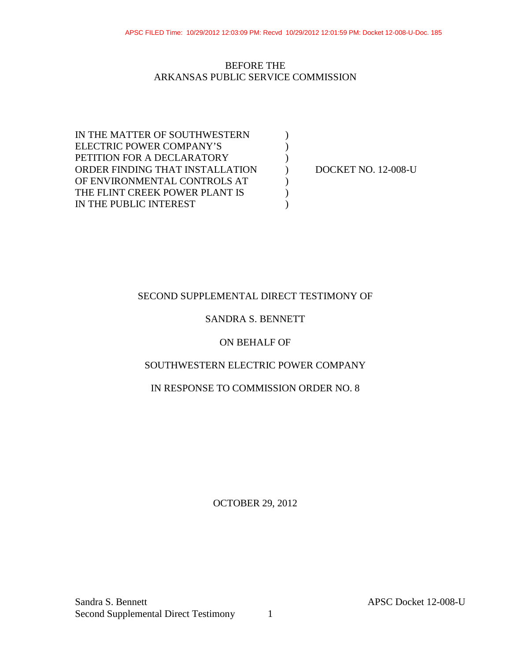## BEFORE THE ARKANSAS PUBLIC SERVICE COMMISSION

IN THE MATTER OF SOUTHWESTERN  $\qquad$  ) ELECTRIC POWER COMPANY'S PETITION FOR A DECLARATORY  $($ ORDER FINDING THAT INSTALLATION ) DOCKET NO. 12-008-U OF ENVIRONMENTAL CONTROLS AT  $($ THE FLINT CREEK POWER PLANT IS  $( )$ IN THE PUBLIC INTEREST

# SECOND SUPPLEMENTAL DIRECT TESTIMONY OF

## SANDRA S. BENNETT

### ON BEHALF OF

### SOUTHWESTERN ELECTRIC POWER COMPANY

## IN RESPONSE TO COMMISSION ORDER NO. 8

OCTOBER 29, 2012

Sandra S. Bennett APSC Docket 12-008-U Second Supplemental Direct Testimony 1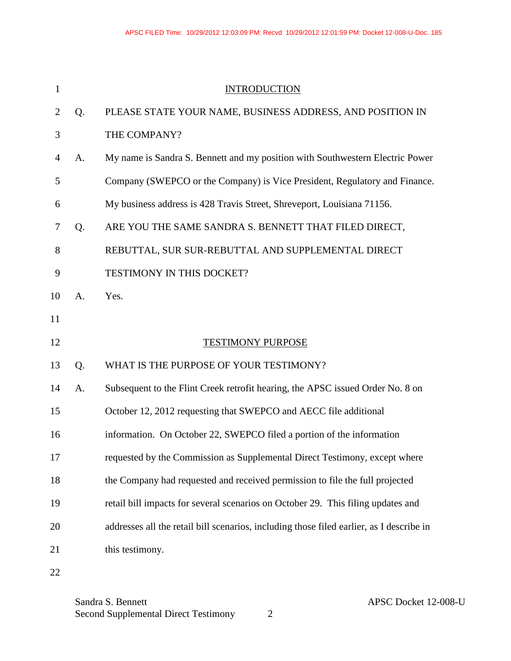| 1              |    | <b>INTRODUCTION</b>                                                                      |  |  |  |  |  |
|----------------|----|------------------------------------------------------------------------------------------|--|--|--|--|--|
| $\overline{2}$ | Q. | PLEASE STATE YOUR NAME, BUSINESS ADDRESS, AND POSITION IN                                |  |  |  |  |  |
| 3              |    | THE COMPANY?                                                                             |  |  |  |  |  |
| $\overline{4}$ | A. | My name is Sandra S. Bennett and my position with Southwestern Electric Power            |  |  |  |  |  |
| 5              |    | Company (SWEPCO or the Company) is Vice President, Regulatory and Finance.               |  |  |  |  |  |
| 6              |    | My business address is 428 Travis Street, Shreveport, Louisiana 71156.                   |  |  |  |  |  |
| 7              | Q. | ARE YOU THE SAME SANDRA S. BENNETT THAT FILED DIRECT,                                    |  |  |  |  |  |
| 8              |    | REBUTTAL, SUR SUR-REBUTTAL AND SUPPLEMENTAL DIRECT                                       |  |  |  |  |  |
| 9              |    | TESTIMONY IN THIS DOCKET?                                                                |  |  |  |  |  |
| 10             | A. | Yes.                                                                                     |  |  |  |  |  |
| 11             |    |                                                                                          |  |  |  |  |  |
| 12             |    | <b>TESTIMONY PURPOSE</b>                                                                 |  |  |  |  |  |
| 13             | Q. | WHAT IS THE PURPOSE OF YOUR TESTIMONY?                                                   |  |  |  |  |  |
| 14             | A. | Subsequent to the Flint Creek retrofit hearing, the APSC issued Order No. 8 on           |  |  |  |  |  |
| 15             |    | October 12, 2012 requesting that SWEPCO and AECC file additional                         |  |  |  |  |  |
| 16             |    |                                                                                          |  |  |  |  |  |
|                |    | information. On October 22, SWEPCO filed a portion of the information                    |  |  |  |  |  |
| 17             |    | requested by the Commission as Supplemental Direct Testimony, except where               |  |  |  |  |  |
| 18             |    | the Company had requested and received permission to file the full projected             |  |  |  |  |  |
| 19             |    | retail bill impacts for several scenarios on October 29. This filing updates and         |  |  |  |  |  |
| 20             |    | addresses all the retail bill scenarios, including those filed earlier, as I describe in |  |  |  |  |  |
| 21             |    | this testimony.                                                                          |  |  |  |  |  |

Sandra S. Bennett<br>
Second Supplemental Direct Testimony 2<br>
2 Second Supplemental Direct Testimony 2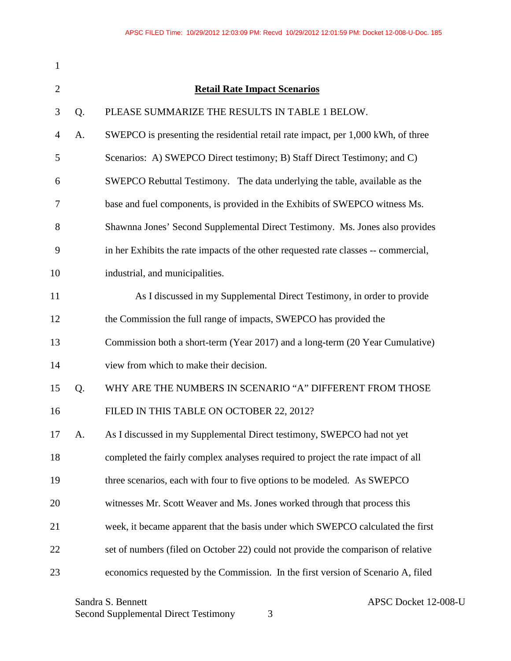| $\mathbf{1}$   |                                     |                                                                                     |  |  |  |  |
|----------------|-------------------------------------|-------------------------------------------------------------------------------------|--|--|--|--|
| $\overline{2}$ | <b>Retail Rate Impact Scenarios</b> |                                                                                     |  |  |  |  |
| 3              | Q.                                  | PLEASE SUMMARIZE THE RESULTS IN TABLE 1 BELOW.                                      |  |  |  |  |
| $\overline{4}$ | A.                                  | SWEPCO is presenting the residential retail rate impact, per 1,000 kWh, of three    |  |  |  |  |
| 5              |                                     | Scenarios: A) SWEPCO Direct testimony; B) Staff Direct Testimony; and C)            |  |  |  |  |
| 6              |                                     | SWEPCO Rebuttal Testimony. The data underlying the table, available as the          |  |  |  |  |
| 7              |                                     | base and fuel components, is provided in the Exhibits of SWEPCO witness Ms.         |  |  |  |  |
| 8              |                                     | Shawnna Jones' Second Supplemental Direct Testimony. Ms. Jones also provides        |  |  |  |  |
| 9              |                                     | in her Exhibits the rate impacts of the other requested rate classes -- commercial, |  |  |  |  |
| 10             |                                     | industrial, and municipalities.                                                     |  |  |  |  |
| 11             |                                     | As I discussed in my Supplemental Direct Testimony, in order to provide             |  |  |  |  |
| 12             |                                     | the Commission the full range of impacts, SWEPCO has provided the                   |  |  |  |  |
| 13             |                                     | Commission both a short-term (Year 2017) and a long-term (20 Year Cumulative)       |  |  |  |  |
| 14             |                                     | view from which to make their decision.                                             |  |  |  |  |
| 15             | Q.                                  | WHY ARE THE NUMBERS IN SCENARIO "A" DIFFERENT FROM THOSE                            |  |  |  |  |
| 16             |                                     | FILED IN THIS TABLE ON OCTOBER 22, 2012?                                            |  |  |  |  |
| 17             | A.                                  | As I discussed in my Supplemental Direct testimony, SWEPCO had not yet              |  |  |  |  |
| 18             |                                     | completed the fairly complex analyses required to project the rate impact of all    |  |  |  |  |
| 19             |                                     | three scenarios, each with four to five options to be modeled. As SWEPCO            |  |  |  |  |
| 20             |                                     | witnesses Mr. Scott Weaver and Ms. Jones worked through that process this           |  |  |  |  |
| 21             |                                     | week, it became apparent that the basis under which SWEPCO calculated the first     |  |  |  |  |
| 22             |                                     | set of numbers (filed on October 22) could not provide the comparison of relative   |  |  |  |  |
| 23             |                                     | economics requested by the Commission. In the first version of Scenario A, filed    |  |  |  |  |

Sandra S. Bennett<br>
Second Supplemental Direct Testimony 3<br>
3 Second Supplemental Direct Testimony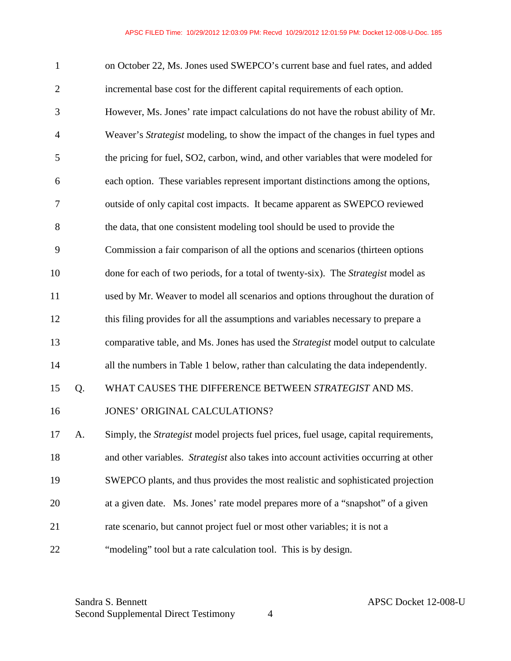| 1              |    | on October 22, Ms. Jones used SWEPCO's current base and fuel rates, and added               |
|----------------|----|---------------------------------------------------------------------------------------------|
| $\overline{2}$ |    | incremental base cost for the different capital requirements of each option.                |
| 3              |    | However, Ms. Jones' rate impact calculations do not have the robust ability of Mr.          |
| $\overline{4}$ |    | Weaver's Strategist modeling, to show the impact of the changes in fuel types and           |
| 5              |    | the pricing for fuel, SO2, carbon, wind, and other variables that were modeled for          |
| 6              |    | each option. These variables represent important distinctions among the options,            |
| 7              |    | outside of only capital cost impacts. It became apparent as SWEPCO reviewed                 |
| 8              |    | the data, that one consistent modeling tool should be used to provide the                   |
| 9              |    | Commission a fair comparison of all the options and scenarios (thirteen options             |
| 10             |    | done for each of two periods, for a total of twenty-six). The Strategist model as           |
| 11             |    | used by Mr. Weaver to model all scenarios and options throughout the duration of            |
| 12             |    | this filing provides for all the assumptions and variables necessary to prepare a           |
| 13             |    | comparative table, and Ms. Jones has used the Strategist model output to calculate          |
| 14             |    | all the numbers in Table 1 below, rather than calculating the data independently.           |
| 15             | Q. | WHAT CAUSES THE DIFFERENCE BETWEEN STRATEGIST AND MS.                                       |
| 16             |    | JONES' ORIGINAL CALCULATIONS?                                                               |
| 17             | A. | Simply, the <i>Strategist</i> model projects fuel prices, fuel usage, capital requirements, |
| 18             |    | and other variables. Strategist also takes into account activities occurring at other       |
| 19             |    | SWEPCO plants, and thus provides the most realistic and sophisticated projection            |
| 20             |    | at a given date. Ms. Jones' rate model prepares more of a "snapshot" of a given             |
| 21             |    | rate scenario, but cannot project fuel or most other variables; it is not a                 |
| 22             |    | "modeling" tool but a rate calculation tool. This is by design.                             |

Sandra S. Bennett APSC Docket 12-008-U Second Supplemental Direct Testimony 4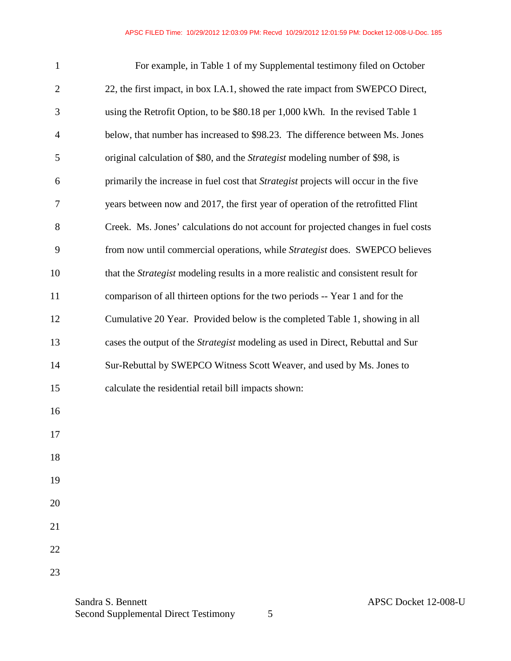| 1              | For example, in Table 1 of my Supplemental testimony filed on October                     |
|----------------|-------------------------------------------------------------------------------------------|
| $\overline{2}$ | 22, the first impact, in box I.A.1, showed the rate impact from SWEPCO Direct,            |
| 3              | using the Retrofit Option, to be \$80.18 per 1,000 kWh. In the revised Table 1            |
| 4              | below, that number has increased to \$98.23. The difference between Ms. Jones             |
| 5              | original calculation of \$80, and the <i>Strategist</i> modeling number of \$98, is       |
| 6              | primarily the increase in fuel cost that Strategist projects will occur in the five       |
| 7              | years between now and 2017, the first year of operation of the retrofitted Flint          |
| $8\,$          | Creek. Ms. Jones' calculations do not account for projected changes in fuel costs         |
| 9              | from now until commercial operations, while Strategist does. SWEPCO believes              |
| 10             | that the <i>Strategist</i> modeling results in a more realistic and consistent result for |
| 11             | comparison of all thirteen options for the two periods -- Year 1 and for the              |
| 12             | Cumulative 20 Year. Provided below is the completed Table 1, showing in all               |
| 13             | cases the output of the <i>Strategist</i> modeling as used in Direct, Rebuttal and Sur    |
| 14             | Sur-Rebuttal by SWEPCO Witness Scott Weaver, and used by Ms. Jones to                     |
| 15             | calculate the residential retail bill impacts shown:                                      |
| 16             |                                                                                           |
| 17             |                                                                                           |
| 18             |                                                                                           |
| 19             |                                                                                           |
| 20             |                                                                                           |
| 21             |                                                                                           |
| 22             |                                                                                           |
| 23             |                                                                                           |